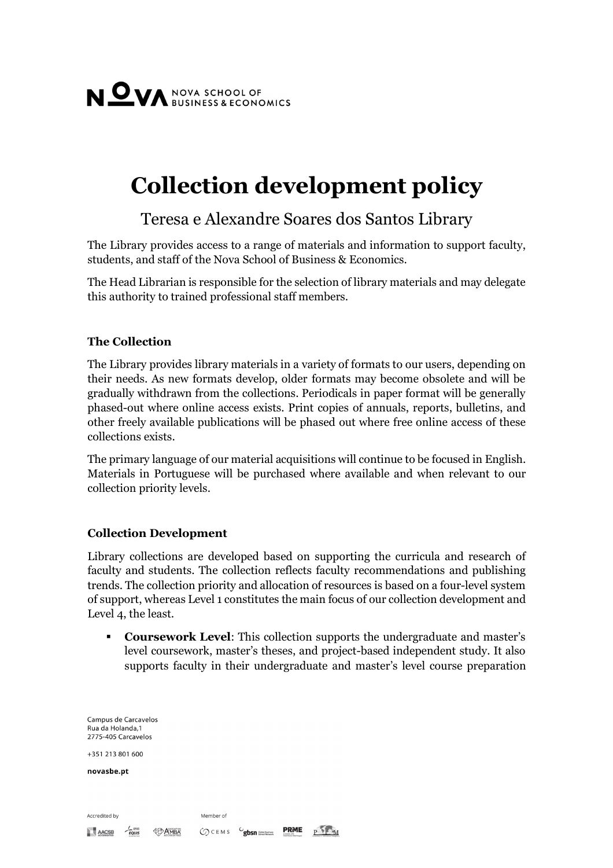

# **Collection development policy**

# Teresa e Alexandre Soares dos Santos Library

The Library provides access to a range of materials and information to support faculty, students, and staff of the Nova School of Business & Economics.

The Head Librarian is responsible for the selection of library materials and may delegate this authority to trained professional staff members.

## **The Collection**

The Library provides library materials in a variety of formats to our users, depending on their needs. As new formats develop, older formats may become obsolete and will be gradually withdrawn from the collections. Periodicals in paper format will be generally phased-out where online access exists. Print copies of annuals, reports, bulletins, and other freely available publications will be phased out where free online access of these collections exists.

The primary language of our material acquisitions will continue to be focused in English. Materials in Portuguese will be purchased where available and when relevant to our collection priority levels.

### **Collection Development**

Library collections are developed based on supporting the curricula and research of faculty and students. The collection reflects faculty recommendations and publishing trends. The collection priority and allocation of resources is based on a four-level system of support, whereas Level 1 constitutes the main focus of our collection development and Level 4, the least.

 **Coursework Level**: This collection supports the undergraduate and master's level coursework, master's theses, and project-based independent study. It also supports faculty in their undergraduate and master's level course preparation